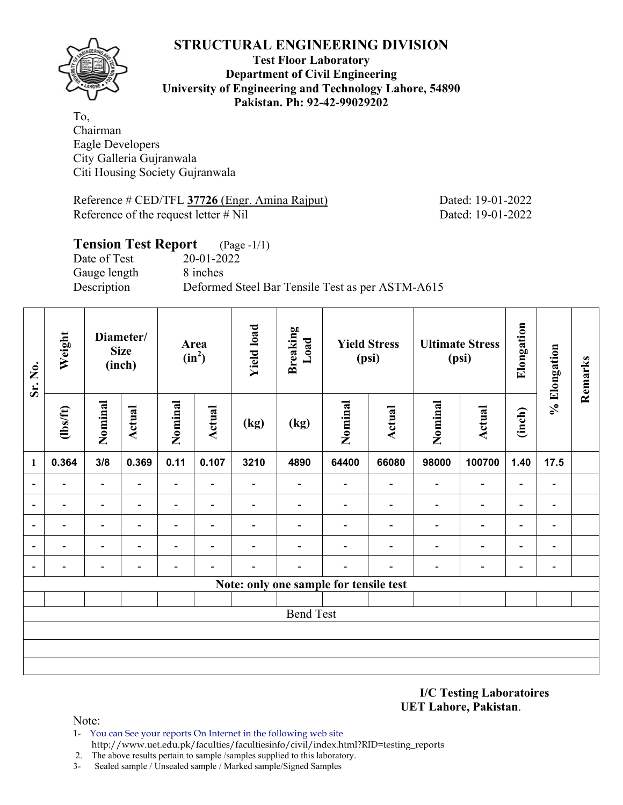

#### **Test Floor Laboratory Department of Civil Engineering University of Engineering and Technology Lahore, 54890 Pakistan. Ph: 92-42-99029202**

To, Chairman Eagle Developers City Galleria Gujranwala Citi Housing Society Gujranwala

Reference # CED/TFL **37726** (Engr. Amina Rajput) Dated: 19-01-2022 Reference of the request letter # Nil Dated: 19-01-2022

# **Tension Test Report** (Page -1/1) Date of Test 20-01-2022 Gauge length 8 inches Description Deformed Steel Bar Tensile Test as per ASTM-A615

| Sr. No.                  | Weight<br>Diameter/<br><b>Size</b><br>(inch) |                          | Area<br>$(in^2)$         |                          | <b>Yield load</b>        | <b>Breaking</b><br>Load  | <b>Yield Stress</b><br>(psi)           |                          | <b>Ultimate Stress</b><br>(psi) |                          | Elongation               | % Elongation             | Remarks                  |  |
|--------------------------|----------------------------------------------|--------------------------|--------------------------|--------------------------|--------------------------|--------------------------|----------------------------------------|--------------------------|---------------------------------|--------------------------|--------------------------|--------------------------|--------------------------|--|
|                          | $\frac{2}{10}$                               | Nominal                  | <b>Actual</b>            | Nominal                  | <b>Actual</b>            | (kg)                     | (kg)                                   | Nominal                  | <b>Actual</b>                   | Nominal                  | <b>Actual</b>            | (inch)                   |                          |  |
| $\mathbf{1}$             | 0.364                                        | 3/8                      | 0.369                    | 0.11                     | 0.107                    | 3210                     | 4890                                   | 64400                    | 66080                           | 98000                    | 100700                   | 1.40                     | 17.5                     |  |
| $\overline{\phantom{a}}$ | $\overline{\phantom{0}}$                     | $\overline{\phantom{0}}$ | $\blacksquare$           | $\overline{\phantom{a}}$ | $\overline{\phantom{0}}$ |                          | $\overline{\phantom{0}}$               | $\overline{\phantom{0}}$ | $\overline{\phantom{0}}$        | $\overline{a}$           | $\overline{\phantom{a}}$ | $\overline{\phantom{0}}$ | $\overline{\phantom{a}}$ |  |
| $\overline{a}$           | -                                            | $\overline{\phantom{0}}$ | $\blacksquare$           | $\overline{\phantom{0}}$ | $\blacksquare$           | $\blacksquare$           | $\overline{\phantom{0}}$               | $\blacksquare$           | ۰                               | $\overline{\phantom{0}}$ | $\overline{\phantom{a}}$ | $\blacksquare$           | $\overline{a}$           |  |
| $\overline{\phantom{a}}$ | -                                            | $\overline{\phantom{0}}$ | $\overline{\phantom{0}}$ | $\blacksquare$           | $\overline{\phantom{a}}$ | $\overline{\phantom{0}}$ | $\qquad \qquad \blacksquare$           | $\overline{\phantom{0}}$ | $\overline{\phantom{0}}$        | $\overline{a}$           | $\overline{\phantom{a}}$ | $\blacksquare$           | $\blacksquare$           |  |
| $\overline{\phantom{a}}$ | -                                            | $\overline{\phantom{0}}$ |                          | $\blacksquare$           | $\blacksquare$           |                          |                                        |                          | ۰                               | $\blacksquare$           | $\overline{\phantom{a}}$ | Ξ.                       | $\overline{\phantom{a}}$ |  |
| $\blacksquare$           |                                              | -                        |                          |                          | ٠                        |                          |                                        |                          |                                 |                          | $\overline{\phantom{a}}$ | -                        | -                        |  |
|                          |                                              |                          |                          |                          |                          |                          | Note: only one sample for tensile test |                          |                                 |                          |                          |                          |                          |  |
|                          |                                              |                          |                          |                          |                          |                          |                                        |                          |                                 |                          |                          |                          |                          |  |
|                          |                                              |                          |                          |                          |                          |                          | <b>Bend Test</b>                       |                          |                                 |                          |                          |                          |                          |  |
|                          |                                              |                          |                          |                          |                          |                          |                                        |                          |                                 |                          |                          |                          |                          |  |
|                          |                                              |                          |                          |                          |                          |                          |                                        |                          |                                 |                          |                          |                          |                          |  |
|                          |                                              |                          |                          |                          |                          |                          |                                        |                          |                                 |                          |                          |                          |                          |  |

**I/C Testing Laboratoires UET Lahore, Pakistan**.

Note:

- 1- You can See your reports On Internet in the following web site http://www.uet.edu.pk/faculties/facultiesinfo/civil/index.html?RID=testing\_reports
- 2. The above results pertain to sample /samples supplied to this laboratory.
- 3- Sealed sample / Unsealed sample / Marked sample/Signed Samples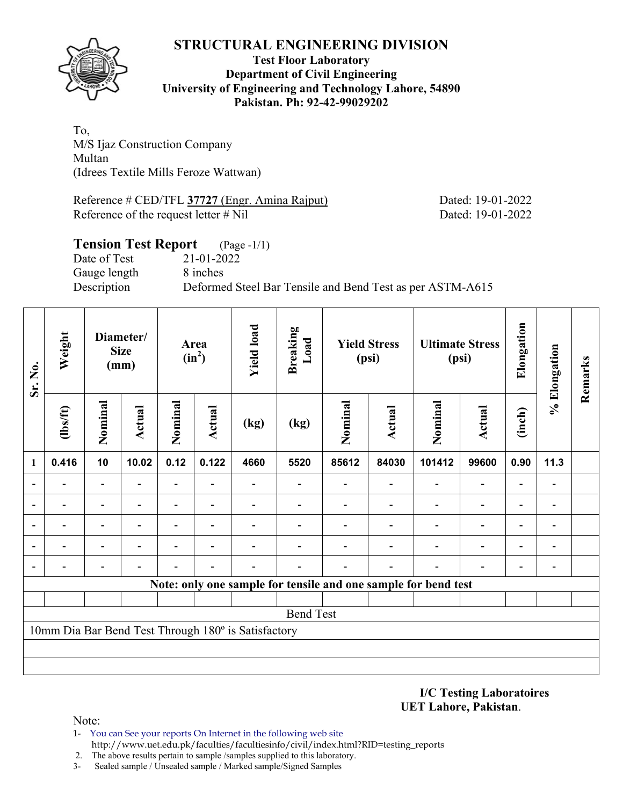

### **Test Floor Laboratory Department of Civil Engineering University of Engineering and Technology Lahore, 54890 Pakistan. Ph: 92-42-99029202**

To, M/S Ijaz Construction Company Multan (Idrees Textile Mills Feroze Wattwan)

Reference # CED/TFL 37727 (Engr. Amina Rajput) Dated: 19-01-2022 Reference of the request letter # Nil Dated: 19-01-2022

# **Tension Test Report** (Page -1/1) Date of Test 21-01-2022 Gauge length 8 inches Description Deformed Steel Bar Tensile and Bend Test as per ASTM-A615

| Sr. No.        | Weight         | Diameter/<br><b>Size</b><br>(mm) |               | Area<br>$(in^2)$         |                          | <b>Yield load</b>                                   | <b>Breaking</b><br>Load | <b>Yield Stress</b><br>(psi) |                | <b>Ultimate Stress</b><br>(psi)                                |                          | Elongation               | % Elongation             | Remarks |
|----------------|----------------|----------------------------------|---------------|--------------------------|--------------------------|-----------------------------------------------------|-------------------------|------------------------------|----------------|----------------------------------------------------------------|--------------------------|--------------------------|--------------------------|---------|
|                | $\frac{2}{10}$ | Nominal                          | <b>Actual</b> | Nominal                  | <b>Actual</b>            | (kg)                                                | (kg)                    | Nominal                      | <b>Actual</b>  | Nominal                                                        | <b>Actual</b>            | (inch)                   |                          |         |
| 1              | 0.416          | 10                               | 10.02         | 0.12                     | 0.122                    | 4660                                                | 5520                    | 85612                        | 84030          | 101412                                                         | 99600                    | 0.90                     | 11.3                     |         |
| $\blacksquare$ |                | ۰                                |               | $\overline{\phantom{0}}$ |                          |                                                     |                         |                              | $\blacksquare$ |                                                                | $\overline{\phantom{0}}$ |                          |                          |         |
| $\overline{a}$ |                | $\overline{\phantom{0}}$         |               | $\blacksquare$           |                          |                                                     |                         |                              |                |                                                                | $\overline{\phantom{0}}$ | $\blacksquare$           |                          |         |
| $\blacksquare$ |                | $\overline{\phantom{0}}$         | ۰             | $\overline{\phantom{0}}$ | $\overline{\phantom{0}}$ |                                                     |                         |                              |                |                                                                | $\overline{\phantom{0}}$ | $\overline{\phantom{0}}$ | $\overline{\phantom{a}}$ |         |
|                |                | $\overline{a}$                   |               |                          |                          |                                                     |                         |                              |                |                                                                |                          | $\overline{\phantom{0}}$ |                          |         |
| $\blacksquare$ |                |                                  |               |                          |                          |                                                     |                         |                              |                |                                                                |                          |                          |                          |         |
|                |                |                                  |               |                          |                          |                                                     |                         |                              |                | Note: only one sample for tensile and one sample for bend test |                          |                          |                          |         |
|                |                |                                  |               |                          |                          |                                                     |                         |                              |                |                                                                |                          |                          |                          |         |
|                |                |                                  |               |                          |                          |                                                     | <b>Bend Test</b>        |                              |                |                                                                |                          |                          |                          |         |
|                |                |                                  |               |                          |                          | 10mm Dia Bar Bend Test Through 180° is Satisfactory |                         |                              |                |                                                                |                          |                          |                          |         |
|                |                |                                  |               |                          |                          |                                                     |                         |                              |                |                                                                |                          |                          |                          |         |
|                |                |                                  |               |                          |                          |                                                     |                         |                              |                |                                                                |                          |                          |                          |         |

**I/C Testing Laboratoires UET Lahore, Pakistan**.

Note:

- 1- You can See your reports On Internet in the following web site http://www.uet.edu.pk/faculties/facultiesinfo/civil/index.html?RID=testing\_reports
- 2. The above results pertain to sample /samples supplied to this laboratory.
- 3- Sealed sample / Unsealed sample / Marked sample/Signed Samples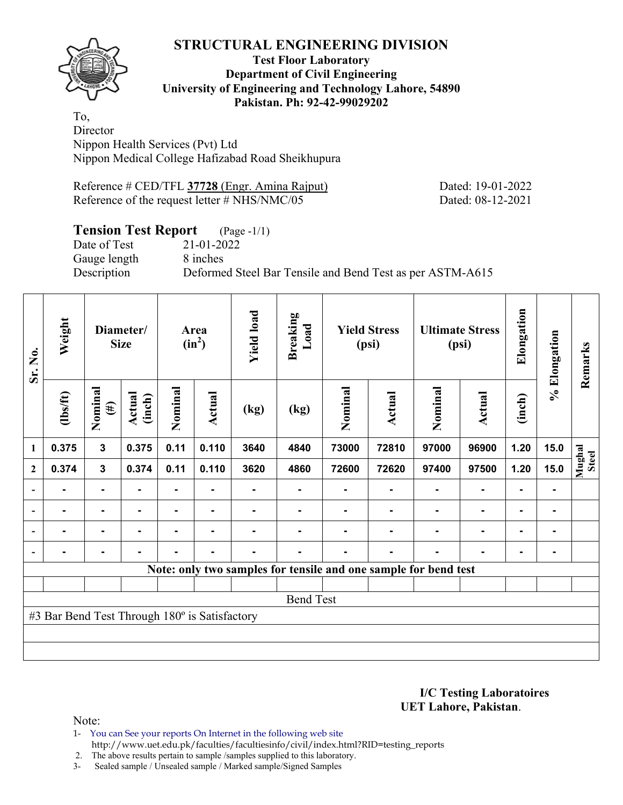**Test Floor Laboratory Department of Civil Engineering University of Engineering and Technology Lahore, 54890 Pakistan. Ph: 92-42-99029202** 

To, **Director** Nippon Health Services (Pvt) Ltd Nippon Medical College Hafizabad Road Sheikhupura

Reference # CED/TFL **37728** (Engr. Amina Rajput) Dated: 19-01-2022 Reference of the request letter # NHS/NMC/05 Dated: 08-12-2021

# **Tension Test Report** (Page -1/1)

Date of Test 21-01-2022 Gauge length 8 inches

Description Deformed Steel Bar Tensile and Bend Test as per ASTM-A615

| Sr. No.                  | Weight                                        | Diameter/<br><b>Size</b> |                  | Area<br>$(in^2)$ |        | <b>Yield load</b> | <b>Breaking</b><br>Load                                         | <b>Yield Stress</b><br>(psi) |                | <b>Ultimate Stress</b><br>(psi) |                | Elongation     | % Elongation | Remarks         |
|--------------------------|-----------------------------------------------|--------------------------|------------------|------------------|--------|-------------------|-----------------------------------------------------------------|------------------------------|----------------|---------------------------------|----------------|----------------|--------------|-----------------|
|                          | $\frac{2}{10}$                                | Nominal<br>$(\#)$        | Actual<br>(inch) | Nominal          | Actual | (kg)              | (kg)                                                            | Nominal                      | Actual         | Nominal                         | <b>Actual</b>  | (inch)         |              |                 |
| 1                        | 0.375                                         | 3                        | 0.375            | 0.11             | 0.110  | 3640              | 4840                                                            | 73000                        | 72810          | 97000                           | 96900          | 1.20           | 15.0         |                 |
| $\boldsymbol{2}$         | 0.374                                         | $\mathbf{3}$             | 0.374            | 0.11             | 0.110  | 3620              | 4860                                                            | 72600                        | 72620          | 97400                           | 97500          | 1.20           | 15.0         | Mughal<br>Steel |
| $\overline{\phantom{a}}$ |                                               | $\blacksquare$           |                  |                  |        |                   |                                                                 |                              |                |                                 |                | $\blacksquare$ |              |                 |
| $\overline{\phantom{a}}$ | ۰                                             | $\blacksquare$           | $\blacksquare$   |                  | ٠      |                   |                                                                 |                              |                |                                 | $\blacksquare$ | $\blacksquare$ | ۰            |                 |
| $\overline{\phantom{a}}$ |                                               | ٠                        |                  |                  |        |                   |                                                                 |                              |                |                                 | $\blacksquare$ | ٠              |              |                 |
| $\overline{\phantom{a}}$ | -                                             | $\blacksquare$           | -                | ٠                | ٠      | ۰                 |                                                                 |                              | $\blacksquare$ | $\blacksquare$                  | $\blacksquare$ | $\blacksquare$ | ۰            |                 |
|                          |                                               |                          |                  |                  |        |                   | Note: only two samples for tensile and one sample for bend test |                              |                |                                 |                |                |              |                 |
|                          |                                               |                          |                  |                  |        |                   |                                                                 |                              |                |                                 |                |                |              |                 |
|                          |                                               |                          |                  |                  |        |                   | <b>Bend Test</b>                                                |                              |                |                                 |                |                |              |                 |
|                          | #3 Bar Bend Test Through 180° is Satisfactory |                          |                  |                  |        |                   |                                                                 |                              |                |                                 |                |                |              |                 |
|                          |                                               |                          |                  |                  |        |                   |                                                                 |                              |                |                                 |                |                |              |                 |
|                          |                                               |                          |                  |                  |        |                   |                                                                 |                              |                |                                 |                |                |              |                 |

**I/C Testing Laboratoires UET Lahore, Pakistan**.

Note:

1- You can See your reports On Internet in the following web site http://www.uet.edu.pk/faculties/facultiesinfo/civil/index.html?RID=testing\_reports

2. The above results pertain to sample /samples supplied to this laboratory.

3- Sealed sample / Unsealed sample / Marked sample/Signed Samples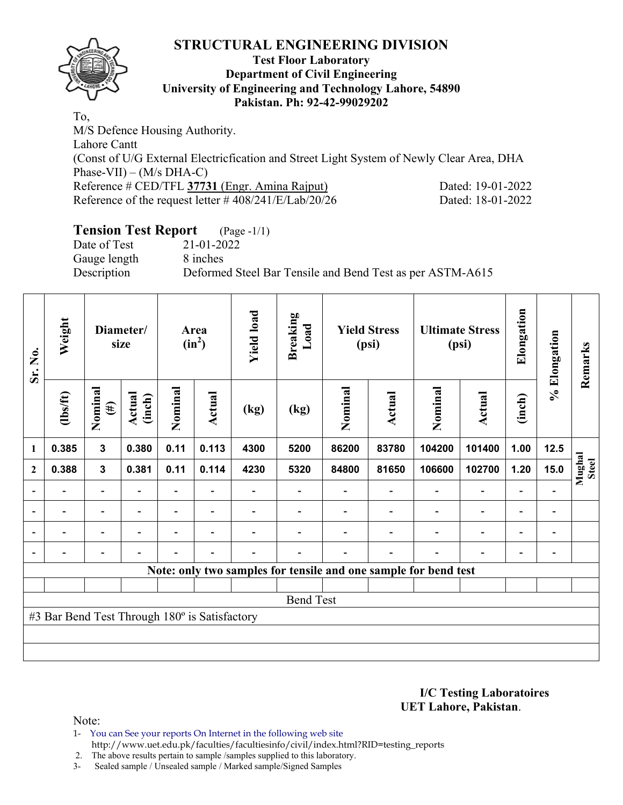

#### **Test Floor Laboratory Department of Civil Engineering University of Engineering and Technology Lahore, 54890 Pakistan. Ph: 92-42-99029202**

To, M/S Defence Housing Authority. Lahore Cantt (Const of U/G External Electricfication and Street Light System of Newly Clear Area, DHA Phase-VII) – (M/s DHA-C) Reference # CED/TFL 37731 (Engr. Amina Rajput) Dated: 19-01-2022 Reference of the request letter # 408/241/E/Lab/20/26 Dated: 18-01-2022

# **Tension Test Report** (Page -1/1)

Date of Test 21-01-2022 Gauge length 8 inches

Description Deformed Steel Bar Tensile and Bend Test as per ASTM-A615

| Sr. No.                  | Weight                                        | Diameter/<br>size        |                          | Area<br>$(in^2)$ |                          | <b>Yield load</b>        | <b>Breaking</b><br>Load | <b>Yield Stress</b><br>(psi)                                    |                          | <b>Ultimate Stress</b><br>(psi) |                | Elongation               | % Elongation             | Remarks                |
|--------------------------|-----------------------------------------------|--------------------------|--------------------------|------------------|--------------------------|--------------------------|-------------------------|-----------------------------------------------------------------|--------------------------|---------------------------------|----------------|--------------------------|--------------------------|------------------------|
|                          | $\frac{2}{10}$                                | Nominal<br>$(\#)$        | Actual<br>(inch)         | Nominal          | <b>Actual</b>            | (kg)                     | (kg)                    | Nominal                                                         | Actual                   | Nominal                         | <b>Actual</b>  | (inch)                   |                          |                        |
| 1                        | 0.385                                         | 3                        | 0.380                    | 0.11             | 0.113                    | 4300                     | 5200                    | 86200                                                           | 83780                    | 104200                          | 101400         | 1.00                     | 12.5                     |                        |
| $\mathbf{2}$             | 0.388                                         | $\mathbf{3}$             | 0.381                    | 0.11             | 0.114                    | 4230                     | 5320                    | 84800                                                           | 81650                    | 106600                          | 102700         | 1.20                     | 15.0                     | Mughal<br><b>Steel</b> |
|                          |                                               | $\overline{\phantom{0}}$ |                          |                  |                          |                          |                         |                                                                 |                          |                                 |                |                          |                          |                        |
| $\overline{\phantom{a}}$ | $\qquad \qquad \blacksquare$                  | $\blacksquare$           | $\blacksquare$           | $\blacksquare$   | $\blacksquare$           | $\overline{\phantom{0}}$ |                         |                                                                 | $\blacksquare$           | $\blacksquare$                  | $\overline{a}$ | $\overline{\phantom{0}}$ | $\blacksquare$           |                        |
| $\overline{\phantom{0}}$ | -                                             | $\overline{\phantom{0}}$ | $\overline{\phantom{0}}$ | $\blacksquare$   | $\overline{\phantom{0}}$ |                          |                         |                                                                 | $\overline{\phantom{0}}$ | $\overline{\phantom{0}}$        | $\overline{a}$ | $\overline{\phantom{0}}$ | $\overline{\phantom{a}}$ |                        |
| $\blacksquare$           | -                                             | $\overline{\phantom{0}}$ | ۰                        | $\blacksquare$   | $\overline{\phantom{a}}$ |                          |                         |                                                                 | $\blacksquare$           | $\overline{\phantom{0}}$        | $\blacksquare$ | $\overline{\phantom{0}}$ |                          |                        |
|                          |                                               |                          |                          |                  |                          |                          |                         | Note: only two samples for tensile and one sample for bend test |                          |                                 |                |                          |                          |                        |
|                          |                                               |                          |                          |                  |                          |                          |                         |                                                                 |                          |                                 |                |                          |                          |                        |
|                          |                                               |                          |                          |                  |                          |                          | <b>Bend Test</b>        |                                                                 |                          |                                 |                |                          |                          |                        |
|                          | #3 Bar Bend Test Through 180° is Satisfactory |                          |                          |                  |                          |                          |                         |                                                                 |                          |                                 |                |                          |                          |                        |
|                          |                                               |                          |                          |                  |                          |                          |                         |                                                                 |                          |                                 |                |                          |                          |                        |
|                          |                                               |                          |                          |                  |                          |                          |                         |                                                                 |                          |                                 |                |                          |                          |                        |

**I/C Testing Laboratoires UET Lahore, Pakistan**.

Note:

1- You can See your reports On Internet in the following web site http://www.uet.edu.pk/faculties/facultiesinfo/civil/index.html?RID=testing\_reports

2. The above results pertain to sample /samples supplied to this laboratory.

3- Sealed sample / Unsealed sample / Marked sample/Signed Samples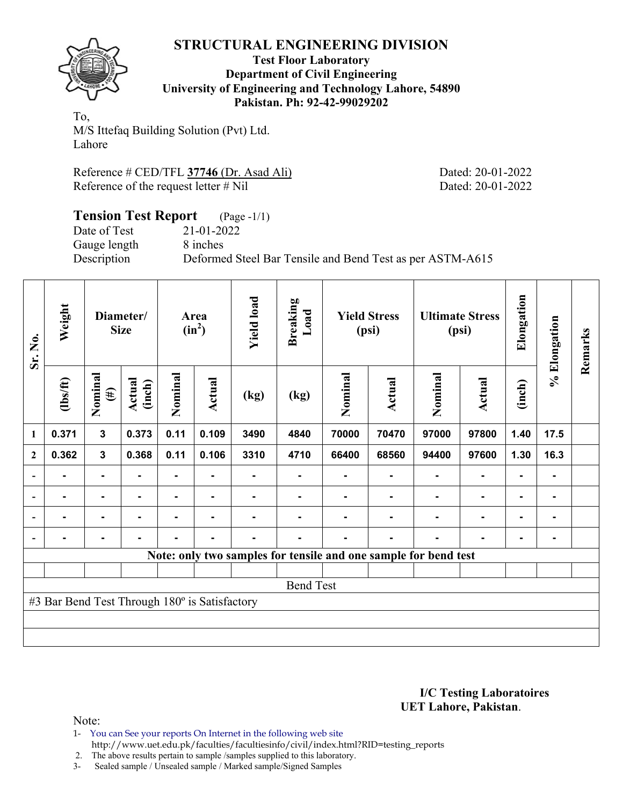

**Test Floor Laboratory Department of Civil Engineering University of Engineering and Technology Lahore, 54890 Pakistan. Ph: 92-42-99029202** 

To, M/S Ittefaq Building Solution (Pvt) Ltd. Lahore

Reference # CED/TFL **37746** (Dr. Asad Ali) Dated: 20-01-2022 Reference of the request letter # Nil Dated: 20-01-2022

### **Tension Test Report** (Page -1/1) Date of Test 21-01-2022 Gauge length 8 inches Description Deformed Steel Bar Tensile and Bend Test as per ASTM-A615

| Sr. No.        | Weight                                        | Diameter/<br><b>Size</b> |                  | Area<br>$(in^2)$ |                | <b>Yield load</b> | <b>Breaking</b><br>Load                                         | <b>Yield Stress</b><br>(psi) |        | <b>Ultimate Stress</b><br>(psi) |               | Elongation | % Elongation | Remarks |
|----------------|-----------------------------------------------|--------------------------|------------------|------------------|----------------|-------------------|-----------------------------------------------------------------|------------------------------|--------|---------------------------------|---------------|------------|--------------|---------|
|                | $\frac{2}{10}$                                | Nominal<br>$(\#)$        | Actual<br>(inch) | Nominal          | <b>Actual</b>  | (kg)              | (kg)                                                            | Nominal                      | Actual | Nominal                         | <b>Actual</b> | (inch)     |              |         |
| $\mathbf{1}$   | 0.371                                         | $\mathbf{3}$             | 0.373            | 0.11             | 0.109          | 3490              | 4840                                                            | 70000                        | 70470  | 97000                           | 97800         | 1.40       | 17.5         |         |
| $\mathbf{2}$   | 0.362                                         | $\mathbf{3}$             | 0.368            | 0.11             | 0.106          | 3310              | 4710                                                            | 66400                        | 68560  | 94400                           | 97600         | 1.30       | 16.3         |         |
|                |                                               |                          |                  |                  |                |                   |                                                                 |                              |        |                                 |               |            | ۰            |         |
| $\blacksquare$ |                                               | $\blacksquare$           |                  |                  | $\blacksquare$ |                   |                                                                 |                              |        |                                 |               |            | ۰            |         |
| $\blacksquare$ |                                               | -                        |                  |                  | ۰.             |                   |                                                                 |                              |        |                                 |               |            | ۰            |         |
|                | $\blacksquare$                                | $\blacksquare$           |                  |                  | ۰              | $\blacksquare$    |                                                                 |                              | ۰      |                                 |               | -          | ۰            |         |
|                |                                               |                          |                  |                  |                |                   | Note: only two samples for tensile and one sample for bend test |                              |        |                                 |               |            |              |         |
|                |                                               |                          |                  |                  |                |                   |                                                                 |                              |        |                                 |               |            |              |         |
|                |                                               |                          |                  |                  |                |                   | <b>Bend Test</b>                                                |                              |        |                                 |               |            |              |         |
|                | #3 Bar Bend Test Through 180° is Satisfactory |                          |                  |                  |                |                   |                                                                 |                              |        |                                 |               |            |              |         |
|                |                                               |                          |                  |                  |                |                   |                                                                 |                              |        |                                 |               |            |              |         |
|                |                                               |                          |                  |                  |                |                   |                                                                 |                              |        |                                 |               |            |              |         |

**I/C Testing Laboratoires UET Lahore, Pakistan**.

Note:

- 1- You can See your reports On Internet in the following web site http://www.uet.edu.pk/faculties/facultiesinfo/civil/index.html?RID=testing\_reports
- 2. The above results pertain to sample /samples supplied to this laboratory.
- 3- Sealed sample / Unsealed sample / Marked sample/Signed Samples